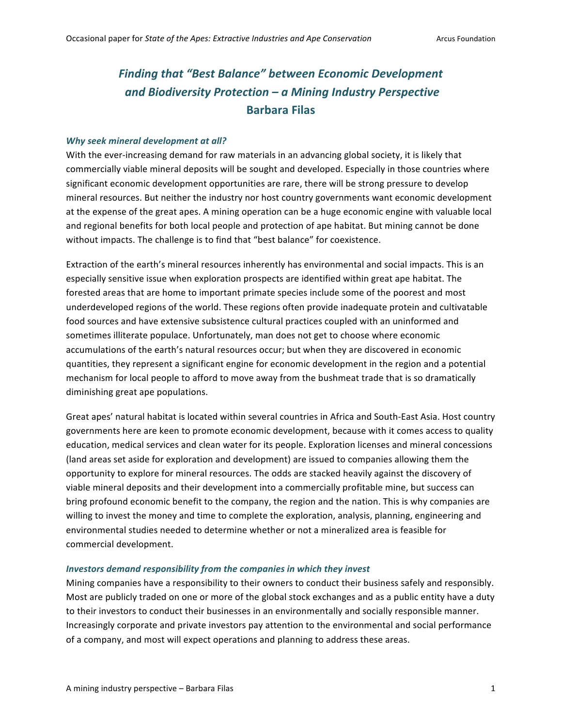# Finding that "Best Balance" between Economic Development *and Biodiversity Protection – a Mining Industry Perspective* **Barbara Filas**

#### **Why seek mineral development at all?**

With the ever-increasing demand for raw materials in an advancing global society, it is likely that commercially viable mineral deposits will be sought and developed. Especially in those countries where significant economic development opportunities are rare, there will be strong pressure to develop mineral resources. But neither the industry nor host country governments want economic development at the expense of the great apes. A mining operation can be a huge economic engine with valuable local and regional benefits for both local people and protection of ape habitat. But mining cannot be done without impacts. The challenge is to find that "best balance" for coexistence.

Extraction of the earth's mineral resources inherently has environmental and social impacts. This is an especially sensitive issue when exploration prospects are identified within great ape habitat. The forested areas that are home to important primate species include some of the poorest and most underdeveloped regions of the world. These regions often provide inadequate protein and cultivatable food sources and have extensive subsistence cultural practices coupled with an uninformed and sometimes illiterate populace. Unfortunately, man does not get to choose where economic accumulations of the earth's natural resources occur; but when they are discovered in economic quantities, they represent a significant engine for economic development in the region and a potential mechanism for local people to afford to move away from the bushmeat trade that is so dramatically diminishing great ape populations.

Great apes' natural habitat is located within several countries in Africa and South-East Asia. Host country governments here are keen to promote economic development, because with it comes access to quality education, medical services and clean water for its people. Exploration licenses and mineral concessions (land areas set aside for exploration and development) are issued to companies allowing them the opportunity to explore for mineral resources. The odds are stacked heavily against the discovery of viable mineral deposits and their development into a commercially profitable mine, but success can bring profound economic benefit to the company, the region and the nation. This is why companies are willing to invest the money and time to complete the exploration, analysis, planning, engineering and environmental studies needed to determine whether or not a mineralized area is feasible for commercial development.

#### *Investors demand responsibility from the companies in which they invest*

Mining companies have a responsibility to their owners to conduct their business safely and responsibly. Most are publicly traded on one or more of the global stock exchanges and as a public entity have a duty to their investors to conduct their businesses in an environmentally and socially responsible manner. Increasingly corporate and private investors pay attention to the environmental and social performance of a company, and most will expect operations and planning to address these areas.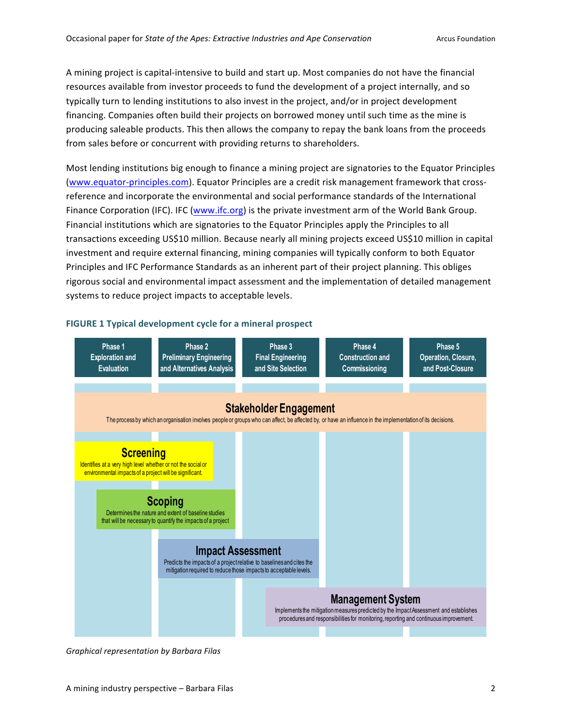A mining project is capital-intensive to build and start up. Most companies do not have the financial resources available from investor proceeds to fund the development of a project internally, and so typically turn to lending institutions to also invest in the project, and/or in project development financing. Companies often build their projects on borrowed money until such time as the mine is producing saleable products. This then allows the company to repay the bank loans from the proceeds from sales before or concurrent with providing returns to shareholders.

Most lending institutions big enough to finance a mining project are signatories to the Equator Principles (www.equator-principles.com). Equator Principles are a credit risk management framework that crossreference and incorporate the environmental and social performance standards of the International Finance Corporation (IFC). IFC (www.ifc.org) is the private investment arm of the World Bank Group. Financial institutions which are signatories to the Equator Principles apply the Principles to all transactions exceeding US\$10 million. Because nearly all mining projects exceed US\$10 million in capital investment and require external financing, mining companies will typically conform to both Equator Principles and IFC Performance Standards as an inherent part of their project planning. This obliges rigorous social and environmental impact assessment and the implementation of detailed management systems to reduce project impacts to acceptable levels.



# **FIGURE 1 Typical development cycle for a mineral prospect**

*Graphical representation by Barbara Filas*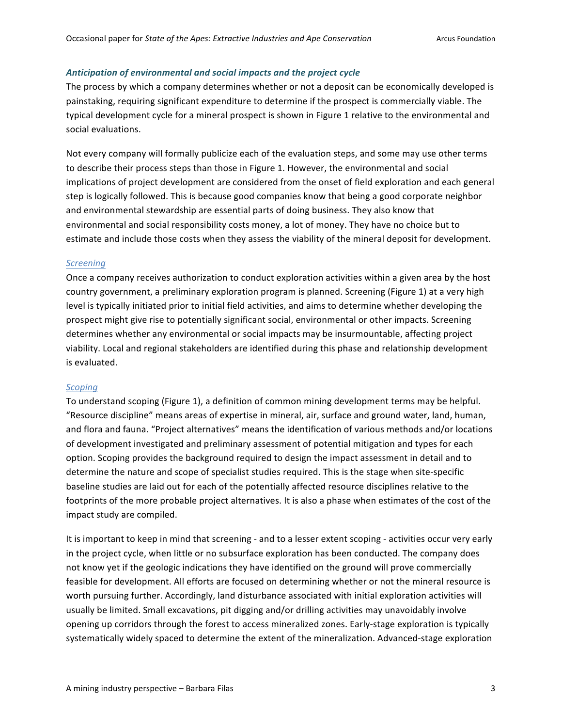## Anticipation of environmental and social impacts and the project cycle

The process by which a company determines whether or not a deposit can be economically developed is painstaking, requiring significant expenditure to determine if the prospect is commercially viable. The typical development cycle for a mineral prospect is shown in Figure 1 relative to the environmental and social evaluations.

Not every company will formally publicize each of the evaluation steps, and some may use other terms to describe their process steps than those in Figure 1. However, the environmental and social implications of project development are considered from the onset of field exploration and each general step is logically followed. This is because good companies know that being a good corporate neighbor and environmental stewardship are essential parts of doing business. They also know that environmental and social responsibility costs money, a lot of money. They have no choice but to estimate and include those costs when they assess the viability of the mineral deposit for development.

# *Screening*

Once a company receives authorization to conduct exploration activities within a given area by the host country government, a preliminary exploration program is planned. Screening (Figure 1) at a very high level is typically initiated prior to initial field activities, and aims to determine whether developing the prospect might give rise to potentially significant social, environmental or other impacts. Screening determines whether any environmental or social impacts may be insurmountable, affecting project viability. Local and regional stakeholders are identified during this phase and relationship development is evaluated.

#### *Scoping*

To understand scoping (Figure 1), a definition of common mining development terms may be helpful. "Resource discipline" means areas of expertise in mineral, air, surface and ground water, land, human, and flora and fauna. "Project alternatives" means the identification of various methods and/or locations of development investigated and preliminary assessment of potential mitigation and types for each option. Scoping provides the background required to design the impact assessment in detail and to determine the nature and scope of specialist studies required. This is the stage when site-specific baseline studies are laid out for each of the potentially affected resource disciplines relative to the footprints of the more probable project alternatives. It is also a phase when estimates of the cost of the impact study are compiled.

It is important to keep in mind that screening - and to a lesser extent scoping - activities occur very early in the project cycle, when little or no subsurface exploration has been conducted. The company does not know yet if the geologic indications they have identified on the ground will prove commercially feasible for development. All efforts are focused on determining whether or not the mineral resource is worth pursuing further. Accordingly, land disturbance associated with initial exploration activities will usually be limited. Small excavations, pit digging and/or drilling activities may unavoidably involve opening up corridors through the forest to access mineralized zones. Early-stage exploration is typically systematically widely spaced to determine the extent of the mineralization. Advanced-stage exploration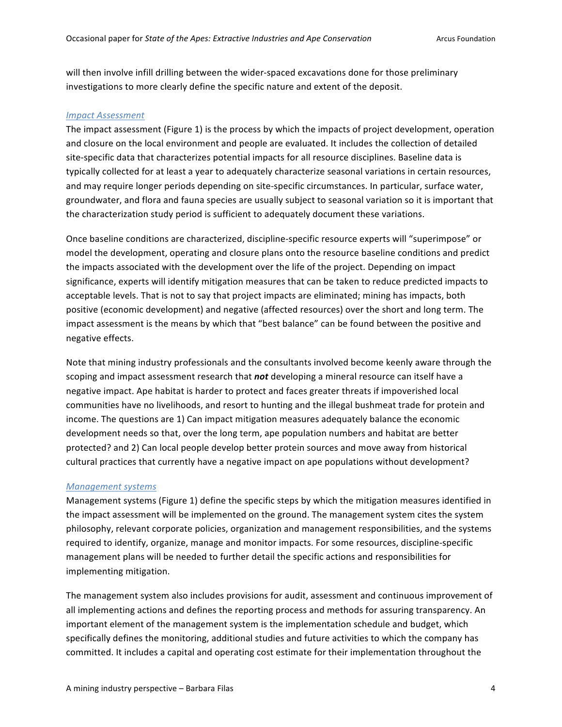will then involve infill drilling between the wider-spaced excavations done for those preliminary investigations to more clearly define the specific nature and extent of the deposit.

#### *Impact Assessment*

The impact assessment (Figure 1) is the process by which the impacts of project development, operation and closure on the local environment and people are evaluated. It includes the collection of detailed site-specific data that characterizes potential impacts for all resource disciplines. Baseline data is typically collected for at least a year to adequately characterize seasonal variations in certain resources, and may require longer periods depending on site-specific circumstances. In particular, surface water, groundwater, and flora and fauna species are usually subject to seasonal variation so it is important that the characterization study period is sufficient to adequately document these variations.

Once baseline conditions are characterized, discipline-specific resource experts will "superimpose" or model the development, operating and closure plans onto the resource baseline conditions and predict the impacts associated with the development over the life of the project. Depending on impact significance, experts will identify mitigation measures that can be taken to reduce predicted impacts to acceptable levels. That is not to say that project impacts are eliminated; mining has impacts, both positive (economic development) and negative (affected resources) over the short and long term. The impact assessment is the means by which that "best balance" can be found between the positive and negative effects.

Note that mining industry professionals and the consultants involved become keenly aware through the scoping and impact assessment research that *not* developing a mineral resource can itself have a negative impact. Ape habitat is harder to protect and faces greater threats if impoverished local communities have no livelihoods, and resort to hunting and the illegal bushmeat trade for protein and income. The questions are 1) Can impact mitigation measures adequately balance the economic development needs so that, over the long term, ape population numbers and habitat are better protected? and 2) Can local people develop better protein sources and move away from historical cultural practices that currently have a negative impact on ape populations without development?

#### *Management systems*

Management systems (Figure 1) define the specific steps by which the mitigation measures identified in the impact assessment will be implemented on the ground. The management system cites the system philosophy, relevant corporate policies, organization and management responsibilities, and the systems required to identify, organize, manage and monitor impacts. For some resources, discipline-specific management plans will be needed to further detail the specific actions and responsibilities for implementing mitigation.

The management system also includes provisions for audit, assessment and continuous improvement of all implementing actions and defines the reporting process and methods for assuring transparency. An important element of the management system is the implementation schedule and budget, which specifically defines the monitoring, additional studies and future activities to which the company has committed. It includes a capital and operating cost estimate for their implementation throughout the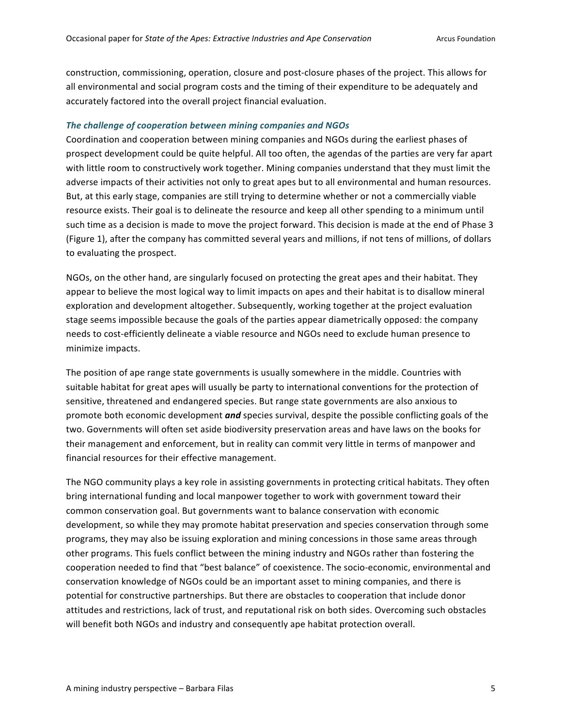construction, commissioning, operation, closure and post-closure phases of the project. This allows for all environmental and social program costs and the timing of their expenditure to be adequately and accurately factored into the overall project financial evaluation.

#### The challenge of cooperation between mining companies and NGOs

Coordination and cooperation between mining companies and NGOs during the earliest phases of prospect development could be quite helpful. All too often, the agendas of the parties are very far apart with little room to constructively work together. Mining companies understand that they must limit the adverse impacts of their activities not only to great apes but to all environmental and human resources. But, at this early stage, companies are still trying to determine whether or not a commercially viable resource exists. Their goal is to delineate the resource and keep all other spending to a minimum until such time as a decision is made to move the project forward. This decision is made at the end of Phase 3 (Figure 1), after the company has committed several years and millions, if not tens of millions, of dollars to evaluating the prospect.

NGOs, on the other hand, are singularly focused on protecting the great apes and their habitat. They appear to believe the most logical way to limit impacts on apes and their habitat is to disallow mineral exploration and development altogether. Subsequently, working together at the project evaluation stage seems impossible because the goals of the parties appear diametrically opposed: the company needs to cost-efficiently delineate a viable resource and NGOs need to exclude human presence to minimize impacts.

The position of ape range state governments is usually somewhere in the middle. Countries with suitable habitat for great apes will usually be party to international conventions for the protection of sensitive, threatened and endangered species. But range state governments are also anxious to promote both economic development **and** species survival, despite the possible conflicting goals of the two. Governments will often set aside biodiversity preservation areas and have laws on the books for their management and enforcement, but in reality can commit very little in terms of manpower and financial resources for their effective management.

The NGO community plays a key role in assisting governments in protecting critical habitats. They often bring international funding and local manpower together to work with government toward their common conservation goal. But governments want to balance conservation with economic development, so while they may promote habitat preservation and species conservation through some programs, they may also be issuing exploration and mining concessions in those same areas through other programs. This fuels conflict between the mining industry and NGOs rather than fostering the cooperation needed to find that "best balance" of coexistence. The socio-economic, environmental and conservation knowledge of NGOs could be an important asset to mining companies, and there is potential for constructive partnerships. But there are obstacles to cooperation that include donor attitudes and restrictions, lack of trust, and reputational risk on both sides. Overcoming such obstacles will benefit both NGOs and industry and consequently ape habitat protection overall.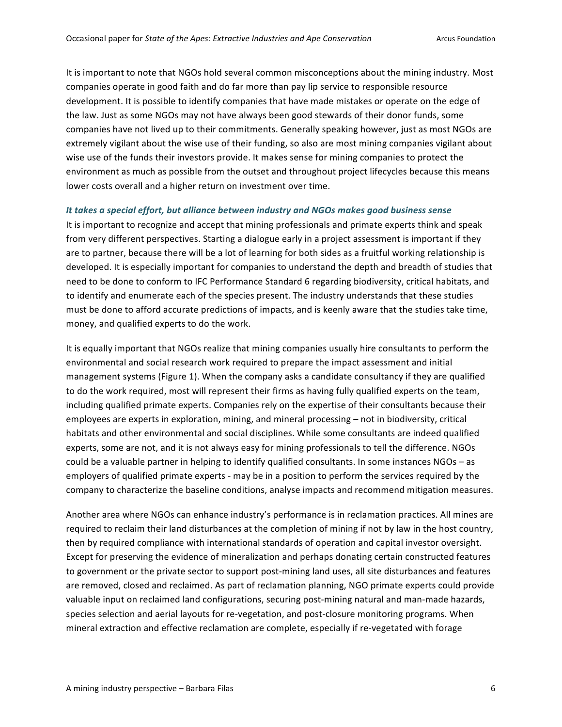It is important to note that NGOs hold several common misconceptions about the mining industry. Most companies operate in good faith and do far more than pay lip service to responsible resource development. It is possible to identify companies that have made mistakes or operate on the edge of the law. Just as some NGOs may not have always been good stewards of their donor funds, some companies have not lived up to their commitments. Generally speaking however, just as most NGOs are extremely vigilant about the wise use of their funding, so also are most mining companies vigilant about wise use of the funds their investors provide. It makes sense for mining companies to protect the environment as much as possible from the outset and throughout project lifecycles because this means lower costs overall and a higher return on investment over time.

#### It takes a special effort, but alliance between industry and NGOs makes good business sense

It is important to recognize and accept that mining professionals and primate experts think and speak from very different perspectives. Starting a dialogue early in a project assessment is important if they are to partner, because there will be a lot of learning for both sides as a fruitful working relationship is developed. It is especially important for companies to understand the depth and breadth of studies that need to be done to conform to IFC Performance Standard 6 regarding biodiversity, critical habitats, and to identify and enumerate each of the species present. The industry understands that these studies must be done to afford accurate predictions of impacts, and is keenly aware that the studies take time, money, and qualified experts to do the work.

It is equally important that NGOs realize that mining companies usually hire consultants to perform the environmental and social research work required to prepare the impact assessment and initial management systems (Figure 1). When the company asks a candidate consultancy if they are qualified to do the work required, most will represent their firms as having fully qualified experts on the team, including qualified primate experts. Companies rely on the expertise of their consultants because their employees are experts in exploration, mining, and mineral processing – not in biodiversity, critical habitats and other environmental and social disciplines. While some consultants are indeed qualified experts, some are not, and it is not always easy for mining professionals to tell the difference. NGOs could be a valuable partner in helping to identify qualified consultants. In some instances NGOs – as employers of qualified primate experts - may be in a position to perform the services required by the company to characterize the baseline conditions, analyse impacts and recommend mitigation measures.

Another area where NGOs can enhance industry's performance is in reclamation practices. All mines are required to reclaim their land disturbances at the completion of mining if not by law in the host country, then by required compliance with international standards of operation and capital investor oversight. Except for preserving the evidence of mineralization and perhaps donating certain constructed features to government or the private sector to support post-mining land uses, all site disturbances and features are removed, closed and reclaimed. As part of reclamation planning, NGO primate experts could provide valuable input on reclaimed land configurations, securing post-mining natural and man-made hazards, species selection and aerial layouts for re-vegetation, and post-closure monitoring programs. When mineral extraction and effective reclamation are complete, especially if re-vegetated with forage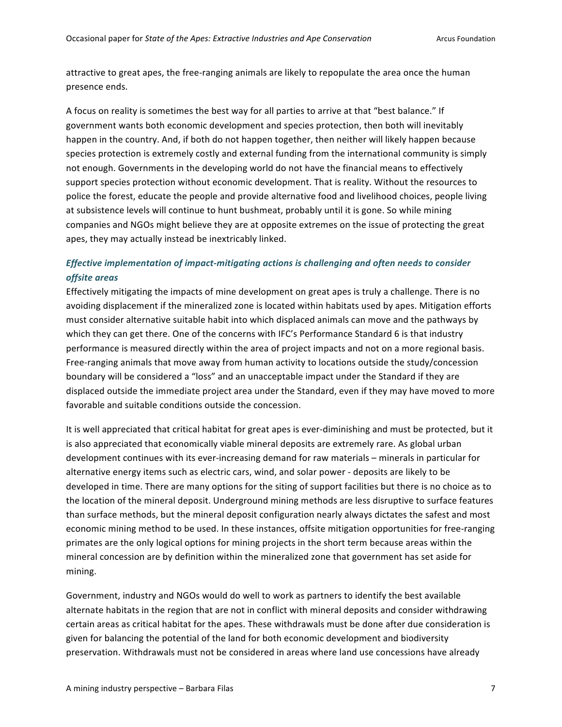attractive to great apes, the free-ranging animals are likely to repopulate the area once the human presence ends.

A focus on reality is sometimes the best way for all parties to arrive at that "best balance." If government wants both economic development and species protection, then both will inevitably happen in the country. And, if both do not happen together, then neither will likely happen because species protection is extremely costly and external funding from the international community is simply not enough. Governments in the developing world do not have the financial means to effectively support species protection without economic development. That is reality. Without the resources to police the forest, educate the people and provide alternative food and livelihood choices, people living at subsistence levels will continue to hunt bushmeat, probably until it is gone. So while mining companies and NGOs might believe they are at opposite extremes on the issue of protecting the great apes, they may actually instead be inextricably linked.

# *Effective implementation of impact-mitigating actions is challenging and often needs to consider offsite areas*

Effectively mitigating the impacts of mine development on great apes is truly a challenge. There is no avoiding displacement if the mineralized zone is located within habitats used by apes. Mitigation efforts must consider alternative suitable habit into which displaced animals can move and the pathways by which they can get there. One of the concerns with IFC's Performance Standard 6 is that industry performance is measured directly within the area of project impacts and not on a more regional basis. Free-ranging animals that move away from human activity to locations outside the study/concession boundary will be considered a "loss" and an unacceptable impact under the Standard if they are displaced outside the immediate project area under the Standard, even if they may have moved to more favorable and suitable conditions outside the concession.

It is well appreciated that critical habitat for great apes is ever-diminishing and must be protected, but it is also appreciated that economically viable mineral deposits are extremely rare. As global urban development continues with its ever-increasing demand for raw materials – minerals in particular for alternative energy items such as electric cars, wind, and solar power - deposits are likely to be developed in time. There are many options for the siting of support facilities but there is no choice as to the location of the mineral deposit. Underground mining methods are less disruptive to surface features than surface methods, but the mineral deposit configuration nearly always dictates the safest and most economic mining method to be used. In these instances, offsite mitigation opportunities for free-ranging primates are the only logical options for mining projects in the short term because areas within the mineral concession are by definition within the mineralized zone that government has set aside for mining.

Government, industry and NGOs would do well to work as partners to identify the best available alternate habitats in the region that are not in conflict with mineral deposits and consider withdrawing certain areas as critical habitat for the apes. These withdrawals must be done after due consideration is given for balancing the potential of the land for both economic development and biodiversity preservation. Withdrawals must not be considered in areas where land use concessions have already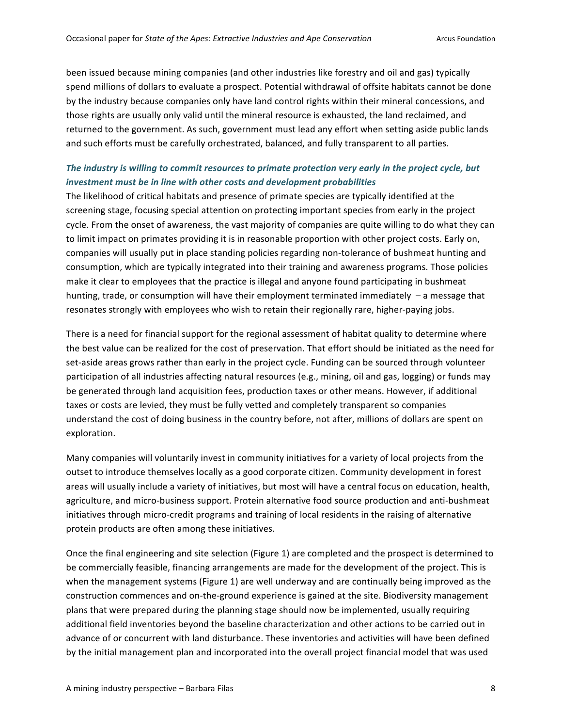been issued because mining companies (and other industries like forestry and oil and gas) typically spend millions of dollars to evaluate a prospect. Potential withdrawal of offsite habitats cannot be done by the industry because companies only have land control rights within their mineral concessions, and those rights are usually only valid until the mineral resource is exhausted, the land reclaimed, and returned to the government. As such, government must lead any effort when setting aside public lands and such efforts must be carefully orchestrated, balanced, and fully transparent to all parties.

# The industry is willing to commit resources to primate protection very early in the project cycle, but *investment must be in line with other costs and development probabilities*

The likelihood of critical habitats and presence of primate species are typically identified at the screening stage, focusing special attention on protecting important species from early in the project cycle. From the onset of awareness, the vast majority of companies are quite willing to do what they can to limit impact on primates providing it is in reasonable proportion with other project costs. Early on, companies will usually put in place standing policies regarding non-tolerance of bushmeat hunting and consumption, which are typically integrated into their training and awareness programs. Those policies make it clear to employees that the practice is illegal and anyone found participating in bushmeat hunting, trade, or consumption will have their employment terminated immediately  $-$  a message that resonates strongly with employees who wish to retain their regionally rare, higher-paying jobs.

There is a need for financial support for the regional assessment of habitat quality to determine where the best value can be realized for the cost of preservation. That effort should be initiated as the need for set-aside areas grows rather than early in the project cycle. Funding can be sourced through volunteer participation of all industries affecting natural resources (e.g., mining, oil and gas, logging) or funds may be generated through land acquisition fees, production taxes or other means. However, if additional taxes or costs are levied, they must be fully vetted and completely transparent so companies understand the cost of doing business in the country before, not after, millions of dollars are spent on exploration.

Many companies will voluntarily invest in community initiatives for a variety of local projects from the outset to introduce themselves locally as a good corporate citizen. Community development in forest areas will usually include a variety of initiatives, but most will have a central focus on education, health, agriculture, and micro-business support. Protein alternative food source production and anti-bushmeat initiatives through micro-credit programs and training of local residents in the raising of alternative protein products are often among these initiatives.

Once the final engineering and site selection (Figure 1) are completed and the prospect is determined to be commercially feasible, financing arrangements are made for the development of the project. This is when the management systems (Figure 1) are well underway and are continually being improved as the construction commences and on-the-ground experience is gained at the site. Biodiversity management plans that were prepared during the planning stage should now be implemented, usually requiring additional field inventories beyond the baseline characterization and other actions to be carried out in advance of or concurrent with land disturbance. These inventories and activities will have been defined by the initial management plan and incorporated into the overall project financial model that was used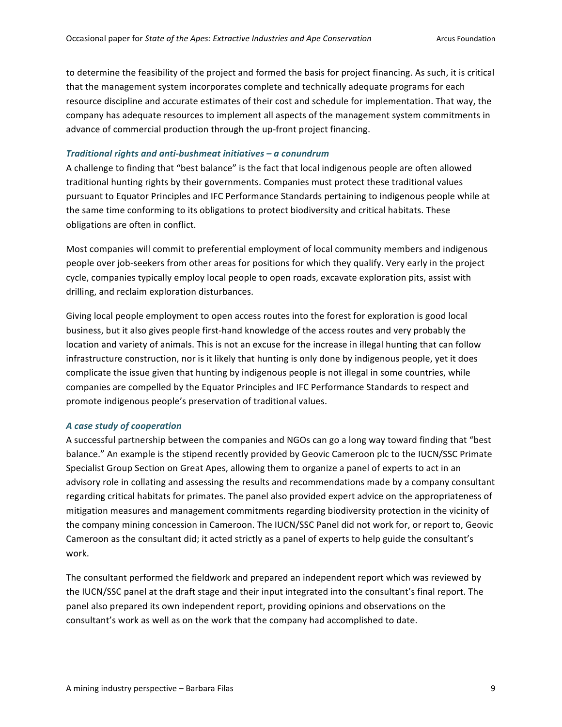to determine the feasibility of the project and formed the basis for project financing. As such, it is critical that the management system incorporates complete and technically adequate programs for each resource discipline and accurate estimates of their cost and schedule for implementation. That way, the company has adequate resources to implement all aspects of the management system commitments in advance of commercial production through the up-front project financing.

#### *Traditional rights and anti-bushmeat initiatives – a conundrum*

A challenge to finding that "best balance" is the fact that local indigenous people are often allowed traditional hunting rights by their governments. Companies must protect these traditional values pursuant to Equator Principles and IFC Performance Standards pertaining to indigenous people while at the same time conforming to its obligations to protect biodiversity and critical habitats. These obligations are often in conflict.

Most companies will commit to preferential employment of local community members and indigenous people over job-seekers from other areas for positions for which they qualify. Very early in the project cycle, companies typically employ local people to open roads, excavate exploration pits, assist with drilling, and reclaim exploration disturbances.

Giving local people employment to open access routes into the forest for exploration is good local business, but it also gives people first-hand knowledge of the access routes and very probably the location and variety of animals. This is not an excuse for the increase in illegal hunting that can follow infrastructure construction, nor is it likely that hunting is only done by indigenous people, yet it does complicate the issue given that hunting by indigenous people is not illegal in some countries, while companies are compelled by the Equator Principles and IFC Performance Standards to respect and promote indigenous people's preservation of traditional values.

#### *A case study of cooperation*

A successful partnership between the companies and NGOs can go a long way toward finding that "best balance." An example is the stipend recently provided by Geovic Cameroon plc to the IUCN/SSC Primate Specialist Group Section on Great Apes, allowing them to organize a panel of experts to act in an advisory role in collating and assessing the results and recommendations made by a company consultant regarding critical habitats for primates. The panel also provided expert advice on the appropriateness of mitigation measures and management commitments regarding biodiversity protection in the vicinity of the company mining concession in Cameroon. The IUCN/SSC Panel did not work for, or report to, Geovic Cameroon as the consultant did; it acted strictly as a panel of experts to help guide the consultant's work.

The consultant performed the fieldwork and prepared an independent report which was reviewed by the IUCN/SSC panel at the draft stage and their input integrated into the consultant's final report. The panel also prepared its own independent report, providing opinions and observations on the consultant's work as well as on the work that the company had accomplished to date.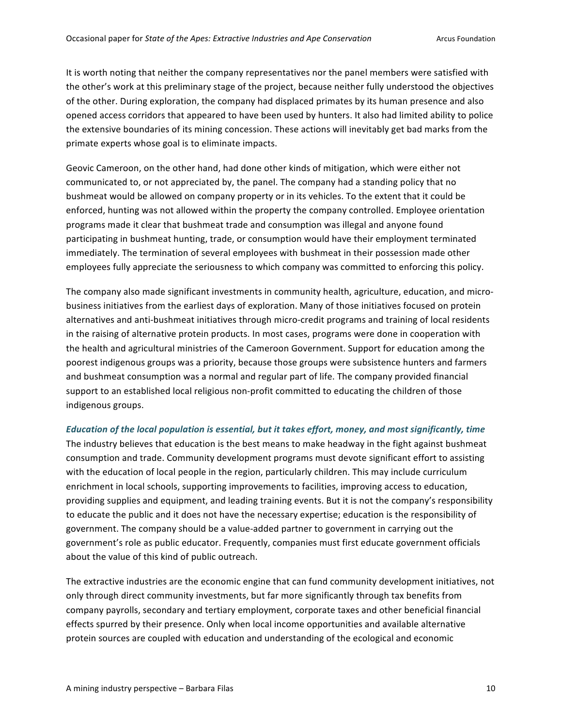It is worth noting that neither the company representatives nor the panel members were satisfied with the other's work at this preliminary stage of the project, because neither fully understood the objectives of the other. During exploration, the company had displaced primates by its human presence and also opened access corridors that appeared to have been used by hunters. It also had limited ability to police the extensive boundaries of its mining concession. These actions will inevitably get bad marks from the primate experts whose goal is to eliminate impacts.

Geovic Cameroon, on the other hand, had done other kinds of mitigation, which were either not communicated to, or not appreciated by, the panel. The company had a standing policy that no bushmeat would be allowed on company property or in its vehicles. To the extent that it could be enforced, hunting was not allowed within the property the company controlled. Employee orientation programs made it clear that bushmeat trade and consumption was illegal and anyone found participating in bushmeat hunting, trade, or consumption would have their employment terminated immediately. The termination of several employees with bushmeat in their possession made other employees fully appreciate the seriousness to which company was committed to enforcing this policy.

The company also made significant investments in community health, agriculture, education, and microbusiness initiatives from the earliest days of exploration. Many of those initiatives focused on protein alternatives and anti-bushmeat initiatives through micro-credit programs and training of local residents in the raising of alternative protein products. In most cases, programs were done in cooperation with the health and agricultural ministries of the Cameroon Government. Support for education among the poorest indigenous groups was a priority, because those groups were subsistence hunters and farmers and bushmeat consumption was a normal and regular part of life. The company provided financial support to an established local religious non-profit committed to educating the children of those indigenous groups.

## *Education of the local population is essential, but it takes effort, money, and most significantly, time*

The industry believes that education is the best means to make headway in the fight against bushmeat consumption and trade. Community development programs must devote significant effort to assisting with the education of local people in the region, particularly children. This may include curriculum enrichment in local schools, supporting improvements to facilities, improving access to education, providing supplies and equipment, and leading training events. But it is not the company's responsibility to educate the public and it does not have the necessary expertise; education is the responsibility of government. The company should be a value-added partner to government in carrying out the government's role as public educator. Frequently, companies must first educate government officials about the value of this kind of public outreach.

The extractive industries are the economic engine that can fund community development initiatives, not only through direct community investments, but far more significantly through tax benefits from company payrolls, secondary and tertiary employment, corporate taxes and other beneficial financial effects spurred by their presence. Only when local income opportunities and available alternative protein sources are coupled with education and understanding of the ecological and economic